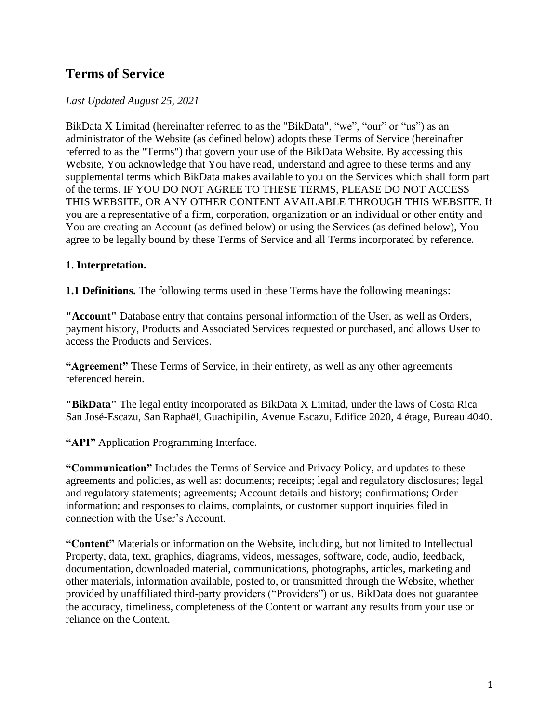# **Terms of Service**

## *Last Updated August 25, 2021*

BikData X Limitad (hereinafter referred to as the "BikData", "we", "our" or "us") as an administrator of the Website (as defined below) adopts these Terms of Service (hereinafter referred to as the "Terms") that govern your use of the BikData Website. By accessing this Website, You acknowledge that You have read, understand and agree to these terms and any supplemental terms which BikData makes available to you on the Services which shall form part of the terms. IF YOU DO NOT AGREE TO THESE TERMS, PLEASE DO NOT ACCESS THIS WEBSITE, OR ANY OTHER CONTENT AVAILABLE THROUGH THIS WEBSITE. If you are a representative of a firm, corporation, organization or an individual or other entity and You are creating an Account (as defined below) or using the Services (as defined below), You agree to be legally bound by these Terms of Service and all Terms incorporated by reference.

#### **1. Interpretation.**

**1.1 Definitions.** The following terms used in these Terms have the following meanings:

**"Account"** Database entry that contains personal information of the User, as well as Orders, payment history, Products and Associated Services requested or purchased, and allows User to access the Products and Services.

**"Agreement"** These Terms of Service, in their entirety, as well as any other agreements referenced herein.

**"BikData"** The legal entity incorporated as BikData X Limitad, under the laws of Costa Rica San José-Escazu, San Raphaël, Guachipilin, Avenue Escazu, Edifice 2020, 4 étage, Bureau 4040.

**"API"** Application Programming Interface.

**"Communication"** Includes the Terms of Service and Privacy Policy, and updates to these agreements and policies, as well as: documents; receipts; legal and regulatory disclosures; legal and regulatory statements; agreements; Account details and history; confirmations; Order information; and responses to claims, complaints, or customer support inquiries filed in connection with the User's Account.

**"Content"** Materials or information on the Website, including, but not limited to Intellectual Property, data, text, graphics, diagrams, videos, messages, software, code, audio, feedback, documentation, downloaded material, communications, photographs, articles, marketing and other materials, information available, posted to, or transmitted through the Website, whether provided by unaffiliated third-party providers ("Providers") or us. BikData does not guarantee the accuracy, timeliness, completeness of the Content or warrant any results from your use or reliance on the Content.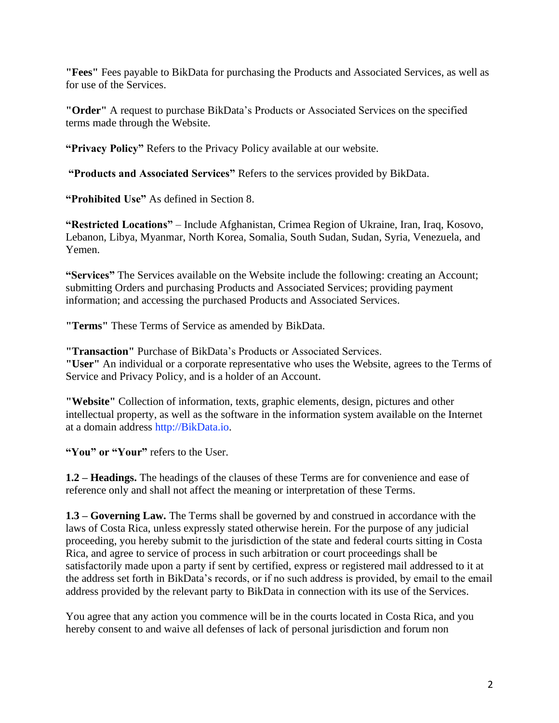**"Fees"** Fees payable to BikData for purchasing the Products and Associated Services, as well as for use of the Services.

**"Order"** A request to purchase BikData's Products or Associated Services on the specified terms made through the Website.

**"Privacy Policy"** Refers to the Privacy Policy available at our website.

**"Products and Associated Services"** Refers to the services provided by BikData.

**"Prohibited Use"** As defined in Section 8.

**"Restricted Locations"** – Include Afghanistan, Crimea Region of Ukraine, Iran, Iraq, Kosovo, Lebanon, Libya, Myanmar, North Korea, Somalia, South Sudan, Sudan, Syria, Venezuela, and Yemen.

**"Services"** The Services available on the Website include the following: creating an Account; submitting Orders and purchasing Products and Associated Services; providing payment information; and accessing the purchased Products and Associated Services.

**"Terms"** These Terms of Service as amended by BikData.

**"Transaction"** Purchase of BikData's Products or Associated Services. **"User"** An individual or a corporate representative who uses the Website, agrees to the Terms of Service and Privacy Policy, and is a holder of an Account.

**"Website"** Collection of information, texts, graphic elements, design, pictures and other intellectual property, as well as the software in the information system available on the Internet at a domain address http://BikData.io.

"You" or "Your" refers to the User.

**1.2 – Headings.** The headings of the clauses of these Terms are for convenience and ease of reference only and shall not affect the meaning or interpretation of these Terms.

**1.3 – Governing Law.** The Terms shall be governed by and construed in accordance with the laws of Costa Rica, unless expressly stated otherwise herein. For the purpose of any judicial proceeding, you hereby submit to the jurisdiction of the state and federal courts sitting in Costa Rica, and agree to service of process in such arbitration or court proceedings shall be satisfactorily made upon a party if sent by certified, express or registered mail addressed to it at the address set forth in BikData's records, or if no such address is provided, by email to the email address provided by the relevant party to BikData in connection with its use of the Services.

You agree that any action you commence will be in the courts located in Costa Rica, and you hereby consent to and waive all defenses of lack of personal jurisdiction and forum non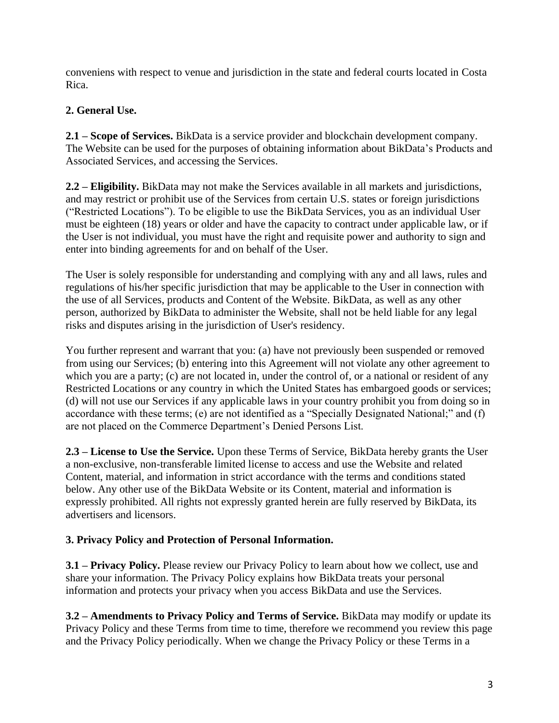conveniens with respect to venue and jurisdiction in the state and federal courts located in Costa Rica.

# **2. General Use.**

**2.1 – Scope of Services.** BikData is a service provider and blockchain development company. The Website can be used for the purposes of obtaining information about BikData's Products and Associated Services, and accessing the Services.

**2.2 – Eligibility.** BikData may not make the Services available in all markets and jurisdictions, and may restrict or prohibit use of the Services from certain U.S. states or foreign jurisdictions ("Restricted Locations"). To be eligible to use the BikData Services, you as an individual User must be eighteen (18) years or older and have the capacity to contract under applicable law, or if the User is not individual, you must have the right and requisite power and authority to sign and enter into binding agreements for and on behalf of the User.

The User is solely responsible for understanding and complying with any and all laws, rules and regulations of his/her specific jurisdiction that may be applicable to the User in connection with the use of all Services, products and Content of the Website. BikData, as well as any other person, authorized by BikData to administer the Website, shall not be held liable for any legal risks and disputes arising in the jurisdiction of User's residency.

You further represent and warrant that you: (a) have not previously been suspended or removed from using our Services; (b) entering into this Agreement will not violate any other agreement to which you are a party; (c) are not located in, under the control of, or a national or resident of any Restricted Locations or any country in which the United States has embargoed goods or services; (d) will not use our Services if any applicable laws in your country prohibit you from doing so in accordance with these terms; (e) are not identified as a "Specially Designated National;" and (f) are not placed on the Commerce Department's Denied Persons List.

**2.3 – License to Use the Service.** Upon these Terms of Service, BikData hereby grants the User a non-exclusive, non-transferable limited license to access and use the Website and related Content, material, and information in strict accordance with the terms and conditions stated below. Any other use of the BikData Website or its Content, material and information is expressly prohibited. All rights not expressly granted herein are fully reserved by BikData, its advertisers and licensors.

#### **3. Privacy Policy and Protection of Personal Information.**

**3.1 – Privacy Policy.** Please review our Privacy Policy to learn about how we collect, use and share your information. The Privacy Policy explains how BikData treats your personal information and protects your privacy when you access BikData and use the Services.

**3.2 – Amendments to Privacy Policy and Terms of Service.** BikData may modify or update its Privacy Policy and these Terms from time to time, therefore we recommend you review this page and the Privacy Policy periodically. When we change the Privacy Policy or these Terms in a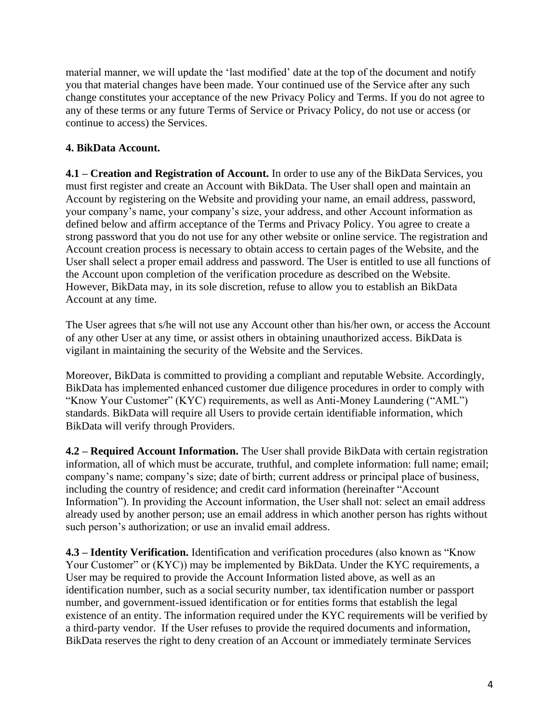material manner, we will update the 'last modified' date at the top of the document and notify you that material changes have been made. Your continued use of the Service after any such change constitutes your acceptance of the new Privacy Policy and Terms. If you do not agree to any of these terms or any future Terms of Service or Privacy Policy, do not use or access (or continue to access) the Services.

# **4. BikData Account.**

**4.1 – Creation and Registration of Account.** In order to use any of the BikData Services, you must first register and create an Account with BikData. The User shall open and maintain an Account by registering on the Website and providing your name, an email address, password, your company's name, your company's size, your address, and other Account information as defined below and affirm acceptance of the Terms and Privacy Policy. You agree to create a strong password that you do not use for any other website or online service. The registration and Account creation process is necessary to obtain access to certain pages of the Website, and the User shall select a proper email address and password. The User is entitled to use all functions of the Account upon completion of the verification procedure as described on the Website. However, BikData may, in its sole discretion, refuse to allow you to establish an BikData Account at any time.

The User agrees that s/he will not use any Account other than his/her own, or access the Account of any other User at any time, or assist others in obtaining unauthorized access. BikData is vigilant in maintaining the security of the Website and the Services.

Moreover, BikData is committed to providing a compliant and reputable Website. Accordingly, BikData has implemented enhanced customer due diligence procedures in order to comply with "Know Your Customer" (KYC) requirements, as well as Anti-Money Laundering ("AML") standards. BikData will require all Users to provide certain identifiable information, which BikData will verify through Providers.

**4.2 – Required Account Information.** The User shall provide BikData with certain registration information, all of which must be accurate, truthful, and complete information: full name; email; company's name; company's size; date of birth; current address or principal place of business, including the country of residence; and credit card information (hereinafter "Account Information"). In providing the Account information, the User shall not: select an email address already used by another person; use an email address in which another person has rights without such person's authorization; or use an invalid email address.

**4.3 – Identity Verification.** Identification and verification procedures (also known as "Know Your Customer" or (KYC)) may be implemented by BikData. Under the KYC requirements, a User may be required to provide the Account Information listed above, as well as an identification number, such as a social security number, tax identification number or passport number, and government-issued identification or for entities forms that establish the legal existence of an entity. The information required under the KYC requirements will be verified by a third-party vendor. If the User refuses to provide the required documents and information, BikData reserves the right to deny creation of an Account or immediately terminate Services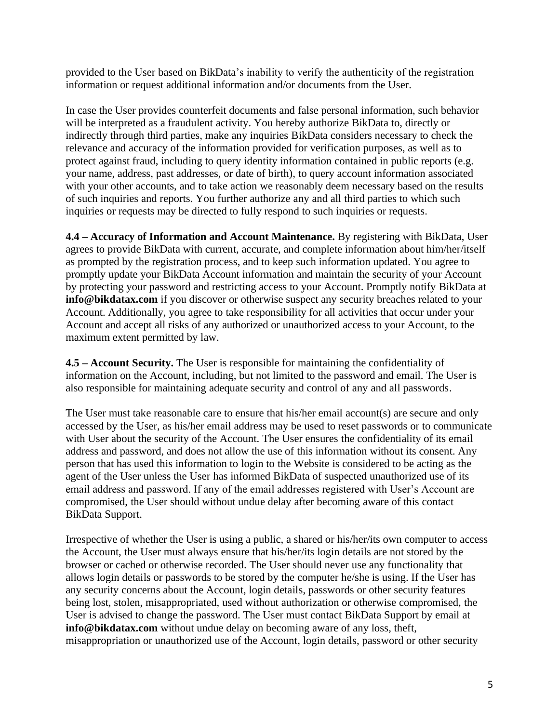provided to the User based on BikData's inability to verify the authenticity of the registration information or request additional information and/or documents from the User.

In case the User provides counterfeit documents and false personal information, such behavior will be interpreted as a fraudulent activity. You hereby authorize BikData to, directly or indirectly through third parties, make any inquiries BikData considers necessary to check the relevance and accuracy of the information provided for verification purposes, as well as to protect against fraud, including to query identity information contained in public reports (e.g. your name, address, past addresses, or date of birth), to query account information associated with your other accounts, and to take action we reasonably deem necessary based on the results of such inquiries and reports. You further authorize any and all third parties to which such inquiries or requests may be directed to fully respond to such inquiries or requests.

**4.4 – Accuracy of Information and Account Maintenance.** By registering with BikData, User agrees to provide BikData with current, accurate, and complete information about him/her/itself as prompted by the registration process, and to keep such information updated. You agree to promptly update your BikData Account information and maintain the security of your Account by protecting your password and restricting access to your Account. Promptly notify BikData at **info@bikdatax.com** if you discover or otherwise suspect any security breaches related to your Account. Additionally, you agree to take responsibility for all activities that occur under your Account and accept all risks of any authorized or unauthorized access to your Account, to the maximum extent permitted by law.

**4.5 – Account Security.** The User is responsible for maintaining the confidentiality of information on the Account, including, but not limited to the password and email. The User is also responsible for maintaining adequate security and control of any and all passwords.

The User must take reasonable care to ensure that his/her email account(s) are secure and only accessed by the User, as his/her email address may be used to reset passwords or to communicate with User about the security of the Account. The User ensures the confidentiality of its email address and password, and does not allow the use of this information without its consent. Any person that has used this information to login to the Website is considered to be acting as the agent of the User unless the User has informed BikData of suspected unauthorized use of its email address and password. If any of the email addresses registered with User's Account are compromised, the User should without undue delay after becoming aware of this contact BikData Support.

Irrespective of whether the User is using a public, a shared or his/her/its own computer to access the Account, the User must always ensure that his/her/its login details are not stored by the browser or cached or otherwise recorded. The User should never use any functionality that allows login details or passwords to be stored by the computer he/she is using. If the User has any security concerns about the Account, login details, passwords or other security features being lost, stolen, misappropriated, used without authorization or otherwise compromised, the User is advised to change the password. The User must contact BikData Support by email at **info@bikdatax.com** without undue delay on becoming aware of any loss, theft, misappropriation or unauthorized use of the Account, login details, password or other security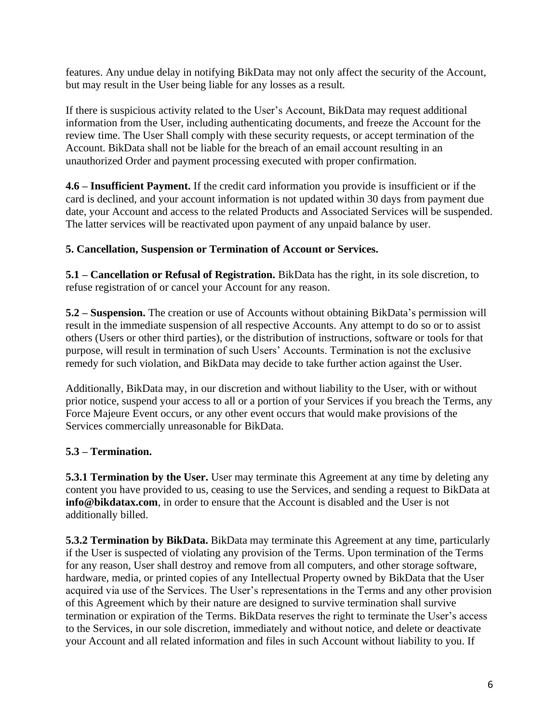features. Any undue delay in notifying BikData may not only affect the security of the Account, but may result in the User being liable for any losses as a result.

If there is suspicious activity related to the User's Account, BikData may request additional information from the User, including authenticating documents, and freeze the Account for the review time. The User Shall comply with these security requests, or accept termination of the Account. BikData shall not be liable for the breach of an email account resulting in an unauthorized Order and payment processing executed with proper confirmation.

**4.6 – Insufficient Payment.** If the credit card information you provide is insufficient or if the card is declined, and your account information is not updated within 30 days from payment due date, your Account and access to the related Products and Associated Services will be suspended. The latter services will be reactivated upon payment of any unpaid balance by user.

#### **5. Cancellation, Suspension or Termination of Account or Services.**

**5.1 – Cancellation or Refusal of Registration.** BikData has the right, in its sole discretion, to refuse registration of or cancel your Account for any reason.

**5.2 – Suspension.** The creation or use of Accounts without obtaining BikData's permission will result in the immediate suspension of all respective Accounts. Any attempt to do so or to assist others (Users or other third parties), or the distribution of instructions, software or tools for that purpose, will result in termination of such Users' Accounts. Termination is not the exclusive remedy for such violation, and BikData may decide to take further action against the User.

Additionally, BikData may, in our discretion and without liability to the User, with or without prior notice, suspend your access to all or a portion of your Services if you breach the Terms, any Force Majeure Event occurs, or any other event occurs that would make provisions of the Services commercially unreasonable for BikData.

#### **5.3 – Termination.**

**5.3.1 Termination by the User.** User may terminate this Agreement at any time by deleting any content you have provided to us, ceasing to use the Services, and sending a request to BikData at **info@bikdatax.com**, in order to ensure that the Account is disabled and the User is not additionally billed.

**5.3.2 Termination by BikData.** BikData may terminate this Agreement at any time, particularly if the User is suspected of violating any provision of the Terms. Upon termination of the Terms for any reason, User shall destroy and remove from all computers, and other storage software, hardware, media, or printed copies of any Intellectual Property owned by BikData that the User acquired via use of the Services. The User's representations in the Terms and any other provision of this Agreement which by their nature are designed to survive termination shall survive termination or expiration of the Terms. BikData reserves the right to terminate the User's access to the Services, in our sole discretion, immediately and without notice, and delete or deactivate your Account and all related information and files in such Account without liability to you. If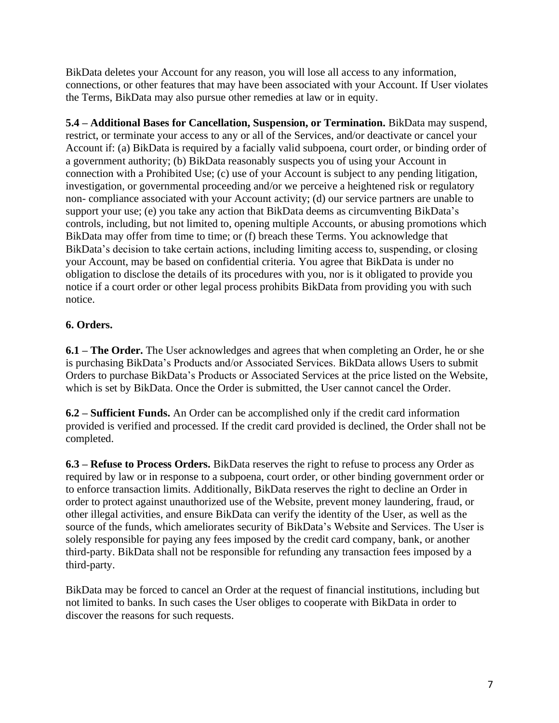BikData deletes your Account for any reason, you will lose all access to any information, connections, or other features that may have been associated with your Account. If User violates the Terms, BikData may also pursue other remedies at law or in equity.

**5.4 – Additional Bases for Cancellation, Suspension, or Termination.** BikData may suspend, restrict, or terminate your access to any or all of the Services, and/or deactivate or cancel your Account if: (a) BikData is required by a facially valid subpoena, court order, or binding order of a government authority; (b) BikData reasonably suspects you of using your Account in connection with a Prohibited Use; (c) use of your Account is subject to any pending litigation, investigation, or governmental proceeding and/or we perceive a heightened risk or regulatory non- compliance associated with your Account activity; (d) our service partners are unable to support your use; (e) you take any action that BikData deems as circumventing BikData's controls, including, but not limited to, opening multiple Accounts, or abusing promotions which BikData may offer from time to time; or (f) breach these Terms. You acknowledge that BikData's decision to take certain actions, including limiting access to, suspending, or closing your Account, may be based on confidential criteria. You agree that BikData is under no obligation to disclose the details of its procedures with you, nor is it obligated to provide you notice if a court order or other legal process prohibits BikData from providing you with such notice.

# **6. Orders.**

**6.1 – The Order.** The User acknowledges and agrees that when completing an Order, he or she is purchasing BikData's Products and/or Associated Services. BikData allows Users to submit Orders to purchase BikData's Products or Associated Services at the price listed on the Website, which is set by BikData. Once the Order is submitted, the User cannot cancel the Order.

**6.2 – Sufficient Funds.** An Order can be accomplished only if the credit card information provided is verified and processed. If the credit card provided is declined, the Order shall not be completed.

**6.3 – Refuse to Process Orders.** BikData reserves the right to refuse to process any Order as required by law or in response to a subpoena, court order, or other binding government order or to enforce transaction limits. Additionally, BikData reserves the right to decline an Order in order to protect against unauthorized use of the Website, prevent money laundering, fraud, or other illegal activities, and ensure BikData can verify the identity of the User, as well as the source of the funds, which ameliorates security of BikData's Website and Services. The User is solely responsible for paying any fees imposed by the credit card company, bank, or another third-party. BikData shall not be responsible for refunding any transaction fees imposed by a third-party.

BikData may be forced to cancel an Order at the request of financial institutions, including but not limited to banks. In such cases the User obliges to cooperate with BikData in order to discover the reasons for such requests.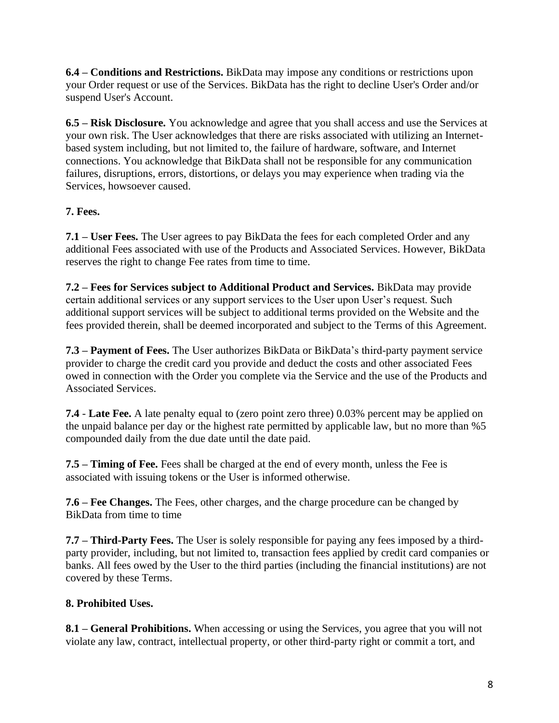**6.4 – Conditions and Restrictions.** BikData may impose any conditions or restrictions upon your Order request or use of the Services. BikData has the right to decline User's Order and/or suspend User's Account.

**6.5 – Risk Disclosure.** You acknowledge and agree that you shall access and use the Services at your own risk. The User acknowledges that there are risks associated with utilizing an Internetbased system including, but not limited to, the failure of hardware, software, and Internet connections. You acknowledge that BikData shall not be responsible for any communication failures, disruptions, errors, distortions, or delays you may experience when trading via the Services, howsoever caused.

# **7. Fees.**

**7.1 – User Fees.** The User agrees to pay BikData the fees for each completed Order and any additional Fees associated with use of the Products and Associated Services. However, BikData reserves the right to change Fee rates from time to time.

**7.2 – Fees for Services subject to Additional Product and Services.** BikData may provide certain additional services or any support services to the User upon User's request. Such additional support services will be subject to additional terms provided on the Website and the fees provided therein, shall be deemed incorporated and subject to the Terms of this Agreement.

**7.3 – Payment of Fees.** The User authorizes BikData or BikData's third-party payment service provider to charge the credit card you provide and deduct the costs and other associated Fees owed in connection with the Order you complete via the Service and the use of the Products and Associated Services.

**7.4** - **Late Fee.** A late penalty equal to (zero point zero three) 0.03% percent may be applied on the unpaid balance per day or the highest rate permitted by applicable law, but no more than %5 compounded daily from the due date until the date paid.

**7.5 – Timing of Fee.** Fees shall be charged at the end of every month, unless the Fee is associated with issuing tokens or the User is informed otherwise.

**7.6 – Fee Changes.** The Fees, other charges, and the charge procedure can be changed by BikData from time to time

**7.7 – Third-Party Fees.** The User is solely responsible for paying any fees imposed by a thirdparty provider, including, but not limited to, transaction fees applied by credit card companies or banks. All fees owed by the User to the third parties (including the financial institutions) are not covered by these Terms.

# **8. Prohibited Uses.**

**8.1 – General Prohibitions.** When accessing or using the Services, you agree that you will not violate any law, contract, intellectual property, or other third-party right or commit a tort, and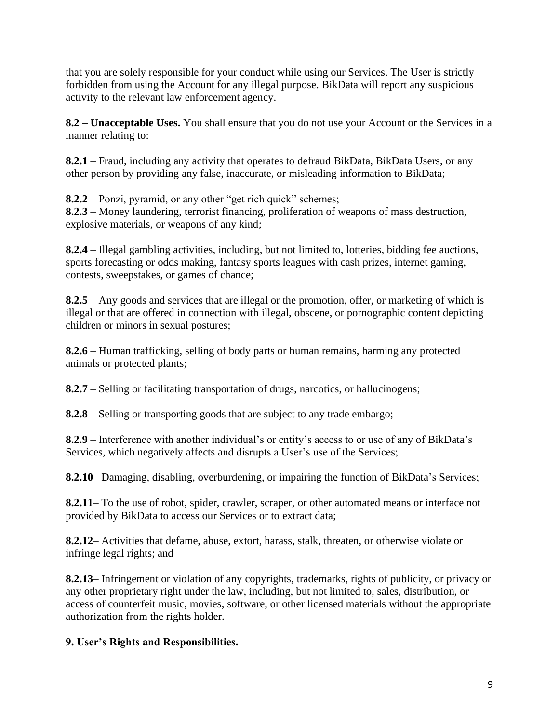that you are solely responsible for your conduct while using our Services. The User is strictly forbidden from using the Account for any illegal purpose. BikData will report any suspicious activity to the relevant law enforcement agency.

**8.2 – Unacceptable Uses.** You shall ensure that you do not use your Account or the Services in a manner relating to:

**8.2.1** – Fraud, including any activity that operates to defraud BikData, BikData Users, or any other person by providing any false, inaccurate, or misleading information to BikData;

**8.2.2** – Ponzi, pyramid, or any other "get rich quick" schemes; **8.2.3** – Money laundering, terrorist financing, proliferation of weapons of mass destruction, explosive materials, or weapons of any kind;

**8.2.4** – Illegal gambling activities, including, but not limited to, lotteries, bidding fee auctions, sports forecasting or odds making, fantasy sports leagues with cash prizes, internet gaming, contests, sweepstakes, or games of chance;

**8.2.5** – Any goods and services that are illegal or the promotion, offer, or marketing of which is illegal or that are offered in connection with illegal, obscene, or pornographic content depicting children or minors in sexual postures;

**8.2.6** – Human trafficking, selling of body parts or human remains, harming any protected animals or protected plants;

**8.2.7** – Selling or facilitating transportation of drugs, narcotics, or hallucinogens;

**8.2.8** – Selling or transporting goods that are subject to any trade embargo;

**8.2.9** – Interference with another individual's or entity's access to or use of any of BikData's Services, which negatively affects and disrupts a User's use of the Services;

**8.2.10**– Damaging, disabling, overburdening, or impairing the function of BikData's Services;

**8.2.11**– To the use of robot, spider, crawler, scraper, or other automated means or interface not provided by BikData to access our Services or to extract data;

**8.2.12**– Activities that defame, abuse, extort, harass, stalk, threaten, or otherwise violate or infringe legal rights; and

**8.2.13**– Infringement or violation of any copyrights, trademarks, rights of publicity, or privacy or any other proprietary right under the law, including, but not limited to, sales, distribution, or access of counterfeit music, movies, software, or other licensed materials without the appropriate authorization from the rights holder.

# **9. User's Rights and Responsibilities.**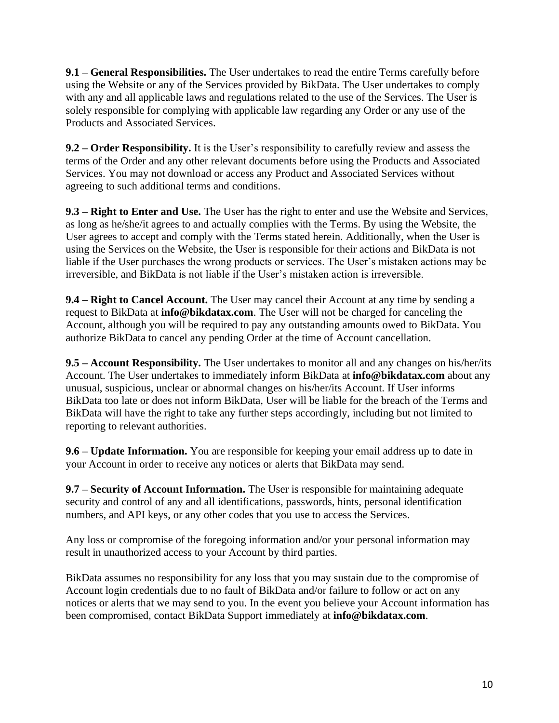**9.1 – General Responsibilities.** The User undertakes to read the entire Terms carefully before using the Website or any of the Services provided by BikData. The User undertakes to comply with any and all applicable laws and regulations related to the use of the Services. The User is solely responsible for complying with applicable law regarding any Order or any use of the Products and Associated Services.

**9.2 – Order Responsibility.** It is the User's responsibility to carefully review and assess the terms of the Order and any other relevant documents before using the Products and Associated Services. You may not download or access any Product and Associated Services without agreeing to such additional terms and conditions.

**9.3 – Right to Enter and Use.** The User has the right to enter and use the Website and Services, as long as he/she/it agrees to and actually complies with the Terms. By using the Website, the User agrees to accept and comply with the Terms stated herein. Additionally, when the User is using the Services on the Website, the User is responsible for their actions and BikData is not liable if the User purchases the wrong products or services. The User's mistaken actions may be irreversible, and BikData is not liable if the User's mistaken action is irreversible.

**9.4 – Right to Cancel Account.** The User may cancel their Account at any time by sending a request to BikData at **info@bikdatax.com**. The User will not be charged for canceling the Account, although you will be required to pay any outstanding amounts owed to BikData. You authorize BikData to cancel any pending Order at the time of Account cancellation.

**9.5 – Account Responsibility.** The User undertakes to monitor all and any changes on his/her/its Account. The User undertakes to immediately inform BikData at **info@bikdatax.com** about any unusual, suspicious, unclear or abnormal changes on his/her/its Account. If User informs BikData too late or does not inform BikData, User will be liable for the breach of the Terms and BikData will have the right to take any further steps accordingly, including but not limited to reporting to relevant authorities.

**9.6 – Update Information.** You are responsible for keeping your email address up to date in your Account in order to receive any notices or alerts that BikData may send.

**9.7 – Security of Account Information.** The User is responsible for maintaining adequate security and control of any and all identifications, passwords, hints, personal identification numbers, and API keys, or any other codes that you use to access the Services.

Any loss or compromise of the foregoing information and/or your personal information may result in unauthorized access to your Account by third parties.

BikData assumes no responsibility for any loss that you may sustain due to the compromise of Account login credentials due to no fault of BikData and/or failure to follow or act on any notices or alerts that we may send to you. In the event you believe your Account information has been compromised, contact BikData Support immediately at **info@bikdatax.com**.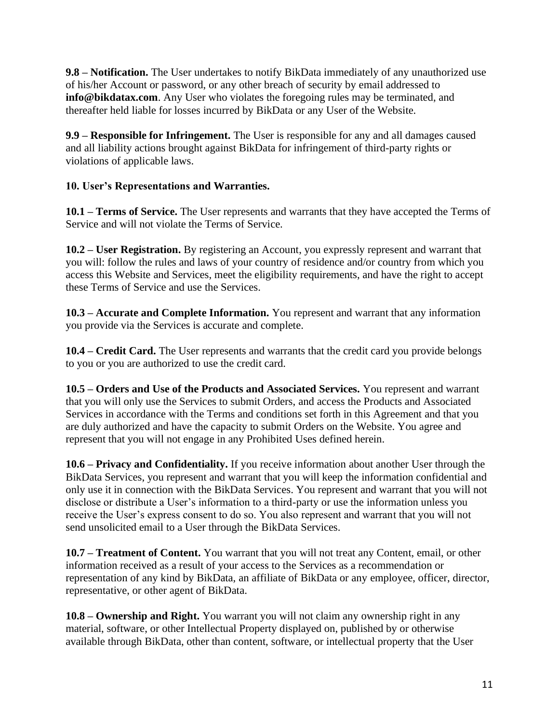**9.8 – Notification.** The User undertakes to notify BikData immediately of any unauthorized use of his/her Account or password, or any other breach of security by email addressed to **info@bikdatax.com**. Any User who violates the foregoing rules may be terminated, and thereafter held liable for losses incurred by BikData or any User of the Website.

**9.9 – Responsible for Infringement.** The User is responsible for any and all damages caused and all liability actions brought against BikData for infringement of third-party rights or violations of applicable laws.

# **10. User's Representations and Warranties.**

**10.1 – Terms of Service.** The User represents and warrants that they have accepted the Terms of Service and will not violate the Terms of Service.

**10.2 – User Registration.** By registering an Account, you expressly represent and warrant that you will: follow the rules and laws of your country of residence and/or country from which you access this Website and Services, meet the eligibility requirements, and have the right to accept these Terms of Service and use the Services.

**10.3 – Accurate and Complete Information.** You represent and warrant that any information you provide via the Services is accurate and complete.

**10.4 – Credit Card.** The User represents and warrants that the credit card you provide belongs to you or you are authorized to use the credit card.

**10.5 – Orders and Use of the Products and Associated Services.** You represent and warrant that you will only use the Services to submit Orders, and access the Products and Associated Services in accordance with the Terms and conditions set forth in this Agreement and that you are duly authorized and have the capacity to submit Orders on the Website. You agree and represent that you will not engage in any Prohibited Uses defined herein.

**10.6 – Privacy and Confidentiality.** If you receive information about another User through the BikData Services, you represent and warrant that you will keep the information confidential and only use it in connection with the BikData Services. You represent and warrant that you will not disclose or distribute a User's information to a third-party or use the information unless you receive the User's express consent to do so. You also represent and warrant that you will not send unsolicited email to a User through the BikData Services.

**10.7 – Treatment of Content.** You warrant that you will not treat any Content, email, or other information received as a result of your access to the Services as a recommendation or representation of any kind by BikData, an affiliate of BikData or any employee, officer, director, representative, or other agent of BikData.

**10.8 – Ownership and Right.** You warrant you will not claim any ownership right in any material, software, or other Intellectual Property displayed on, published by or otherwise available through BikData, other than content, software, or intellectual property that the User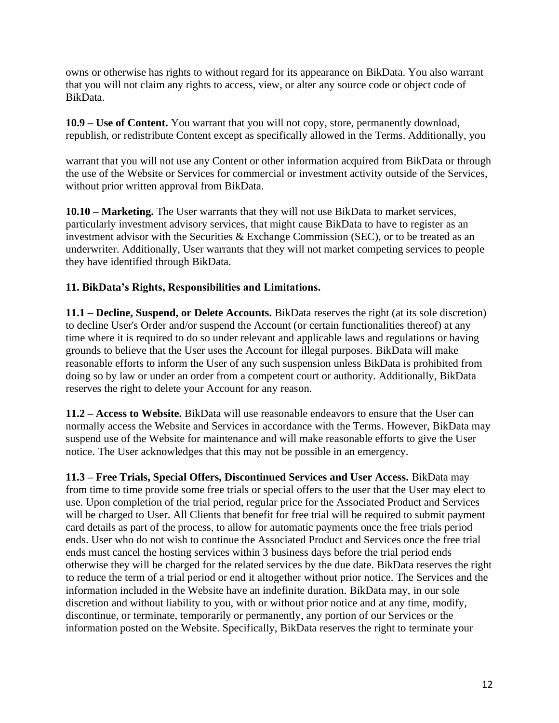owns or otherwise has rights to without regard for its appearance on BikData. You also warrant that you will not claim any rights to access, view, or alter any source code or object code of BikData.

**10.9 – Use of Content.** You warrant that you will not copy, store, permanently download, republish, or redistribute Content except as specifically allowed in the Terms. Additionally, you

warrant that you will not use any Content or other information acquired from BikData or through the use of the Website or Services for commercial or investment activity outside of the Services, without prior written approval from BikData.

**10.10 – Marketing.** The User warrants that they will not use BikData to market services, particularly investment advisory services, that might cause BikData to have to register as an investment advisor with the Securities & Exchange Commission (SEC), or to be treated as an underwriter. Additionally, User warrants that they will not market competing services to people they have identified through BikData.

# **11. BikData's Rights, Responsibilities and Limitations.**

**11.1 – Decline, Suspend, or Delete Accounts.** BikData reserves the right (at its sole discretion) to decline User's Order and/or suspend the Account (or certain functionalities thereof) at any time where it is required to do so under relevant and applicable laws and regulations or having grounds to believe that the User uses the Account for illegal purposes. BikData will make reasonable efforts to inform the User of any such suspension unless BikData is prohibited from doing so by law or under an order from a competent court or authority. Additionally, BikData reserves the right to delete your Account for any reason.

**11.2 – Access to Website.** BikData will use reasonable endeavors to ensure that the User can normally access the Website and Services in accordance with the Terms. However, BikData may suspend use of the Website for maintenance and will make reasonable efforts to give the User notice. The User acknowledges that this may not be possible in an emergency.

**11.3 – Free Trials, Special Offers, Discontinued Services and User Access.** BikData may from time to time provide some free trials or special offers to the user that the User may elect to use. Upon completion of the trial period, regular price for the Associated Product and Services will be charged to User. All Clients that benefit for free trial will be required to submit payment card details as part of the process, to allow for automatic payments once the free trials period ends. User who do not wish to continue the Associated Product and Services once the free trial ends must cancel the hosting services within 3 business days before the trial period ends otherwise they will be charged for the related services by the due date. BikData reserves the right to reduce the term of a trial period or end it altogether without prior notice. The Services and the information included in the Website have an indefinite duration. BikData may, in our sole discretion and without liability to you, with or without prior notice and at any time, modify, discontinue, or terminate, temporarily or permanently, any portion of our Services or the information posted on the Website. Specifically, BikData reserves the right to terminate your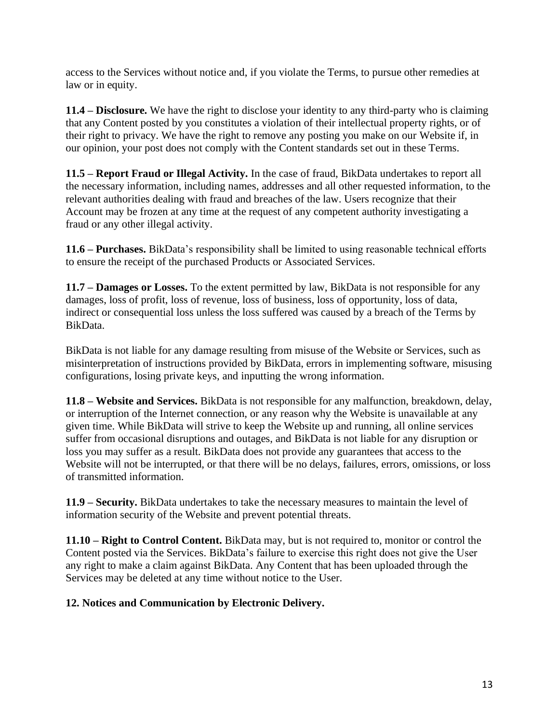access to the Services without notice and, if you violate the Terms, to pursue other remedies at law or in equity.

**11.4 – Disclosure.** We have the right to disclose your identity to any third-party who is claiming that any Content posted by you constitutes a violation of their intellectual property rights, or of their right to privacy. We have the right to remove any posting you make on our Website if, in our opinion, your post does not comply with the Content standards set out in these Terms.

**11.5 – Report Fraud or Illegal Activity.** In the case of fraud, BikData undertakes to report all the necessary information, including names, addresses and all other requested information, to the relevant authorities dealing with fraud and breaches of the law. Users recognize that their Account may be frozen at any time at the request of any competent authority investigating a fraud or any other illegal activity.

**11.6 – Purchases.** BikData's responsibility shall be limited to using reasonable technical efforts to ensure the receipt of the purchased Products or Associated Services.

**11.7 – Damages or Losses.** To the extent permitted by law, BikData is not responsible for any damages, loss of profit, loss of revenue, loss of business, loss of opportunity, loss of data, indirect or consequential loss unless the loss suffered was caused by a breach of the Terms by BikData.

BikData is not liable for any damage resulting from misuse of the Website or Services, such as misinterpretation of instructions provided by BikData, errors in implementing software, misusing configurations, losing private keys, and inputting the wrong information.

**11.8 – Website and Services.** BikData is not responsible for any malfunction, breakdown, delay, or interruption of the Internet connection, or any reason why the Website is unavailable at any given time. While BikData will strive to keep the Website up and running, all online services suffer from occasional disruptions and outages, and BikData is not liable for any disruption or loss you may suffer as a result. BikData does not provide any guarantees that access to the Website will not be interrupted, or that there will be no delays, failures, errors, omissions, or loss of transmitted information.

**11.9 – Security.** BikData undertakes to take the necessary measures to maintain the level of information security of the Website and prevent potential threats.

**11.10 – Right to Control Content.** BikData may, but is not required to, monitor or control the Content posted via the Services. BikData's failure to exercise this right does not give the User any right to make a claim against BikData. Any Content that has been uploaded through the Services may be deleted at any time without notice to the User.

#### **12. Notices and Communication by Electronic Delivery.**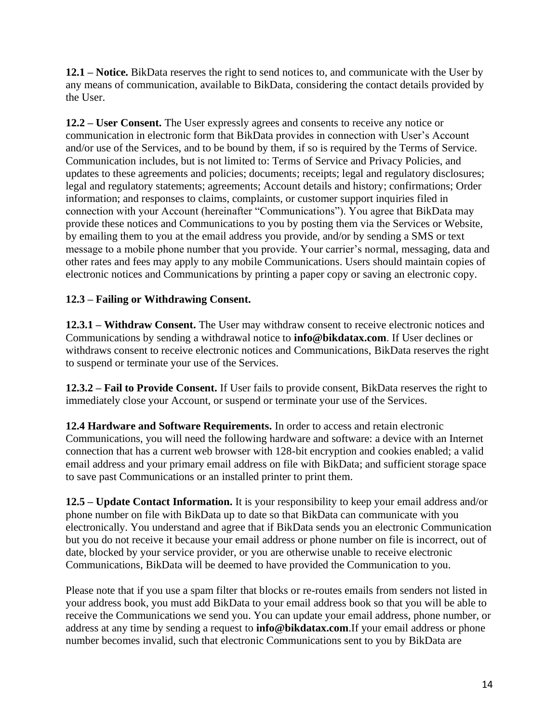**12.1 – Notice.** BikData reserves the right to send notices to, and communicate with the User by any means of communication, available to BikData, considering the contact details provided by the User.

**12.2 – User Consent.** The User expressly agrees and consents to receive any notice or communication in electronic form that BikData provides in connection with User's Account and/or use of the Services, and to be bound by them, if so is required by the Terms of Service. Communication includes, but is not limited to: Terms of Service and Privacy Policies, and updates to these agreements and policies; documents; receipts; legal and regulatory disclosures; legal and regulatory statements; agreements; Account details and history; confirmations; Order information; and responses to claims, complaints, or customer support inquiries filed in connection with your Account (hereinafter "Communications"). You agree that BikData may provide these notices and Communications to you by posting them via the Services or Website, by emailing them to you at the email address you provide, and/or by sending a SMS or text message to a mobile phone number that you provide. Your carrier's normal, messaging, data and other rates and fees may apply to any mobile Communications. Users should maintain copies of electronic notices and Communications by printing a paper copy or saving an electronic copy.

# **12.3 – Failing or Withdrawing Consent.**

**12.3.1 – Withdraw Consent.** The User may withdraw consent to receive electronic notices and Communications by sending a withdrawal notice to **info@bikdatax.com**. If User declines or withdraws consent to receive electronic notices and Communications, BikData reserves the right to suspend or terminate your use of the Services.

**12.3.2 – Fail to Provide Consent.** If User fails to provide consent, BikData reserves the right to immediately close your Account, or suspend or terminate your use of the Services.

**12.4 Hardware and Software Requirements.** In order to access and retain electronic Communications, you will need the following hardware and software: a device with an Internet connection that has a current web browser with 128-bit encryption and cookies enabled; a valid email address and your primary email address on file with BikData; and sufficient storage space to save past Communications or an installed printer to print them.

**12.5 – Update Contact Information.** It is your responsibility to keep your email address and/or phone number on file with BikData up to date so that BikData can communicate with you electronically. You understand and agree that if BikData sends you an electronic Communication but you do not receive it because your email address or phone number on file is incorrect, out of date, blocked by your service provider, or you are otherwise unable to receive electronic Communications, BikData will be deemed to have provided the Communication to you.

Please note that if you use a spam filter that blocks or re-routes emails from senders not listed in your address book, you must add BikData to your email address book so that you will be able to receive the Communications we send you. You can update your email address, phone number, or address at any time by sending a request to **info@bikdatax.com**.If your email address or phone number becomes invalid, such that electronic Communications sent to you by BikData are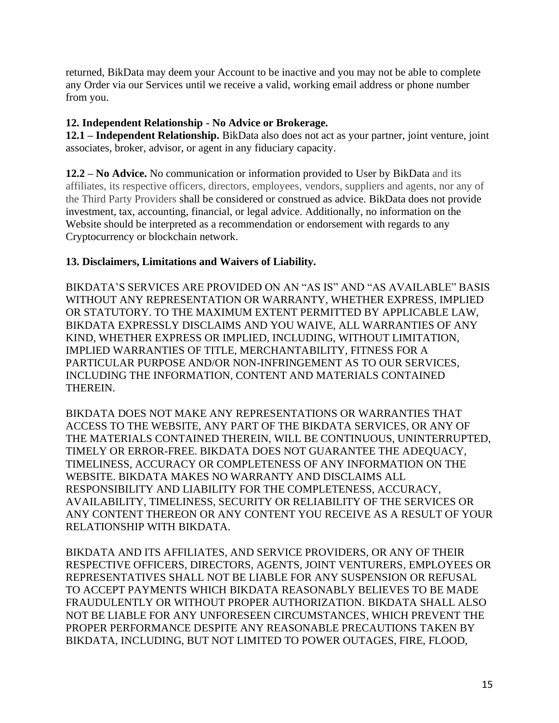returned, BikData may deem your Account to be inactive and you may not be able to complete any Order via our Services until we receive a valid, working email address or phone number from you.

## **12. Independent Relationship - No Advice or Brokerage.**

**12.1 – Independent Relationship.** BikData also does not act as your partner, joint venture, joint associates, broker, advisor, or agent in any fiduciary capacity.

**12.2 – No Advice.** No communication or information provided to User by BikData and its affiliates, its respective officers, directors, employees, vendors, suppliers and agents, nor any of the Third Party Providers shall be considered or construed as advice. BikData does not provide investment, tax, accounting, financial, or legal advice. Additionally, no information on the Website should be interpreted as a recommendation or endorsement with regards to any Cryptocurrency or blockchain network.

# **13. Disclaimers, Limitations and Waivers of Liability.**

BIKDATA'S SERVICES ARE PROVIDED ON AN "AS IS" AND "AS AVAILABLE" BASIS WITHOUT ANY REPRESENTATION OR WARRANTY, WHETHER EXPRESS, IMPLIED OR STATUTORY. TO THE MAXIMUM EXTENT PERMITTED BY APPLICABLE LAW, BIKDATA EXPRESSLY DISCLAIMS AND YOU WAIVE, ALL WARRANTIES OF ANY KIND, WHETHER EXPRESS OR IMPLIED, INCLUDING, WITHOUT LIMITATION, IMPLIED WARRANTIES OF TITLE, MERCHANTABILITY, FITNESS FOR A PARTICULAR PURPOSE AND/OR NON-INFRINGEMENT AS TO OUR SERVICES, INCLUDING THE INFORMATION, CONTENT AND MATERIALS CONTAINED THEREIN.

BIKDATA DOES NOT MAKE ANY REPRESENTATIONS OR WARRANTIES THAT ACCESS TO THE WEBSITE, ANY PART OF THE BIKDATA SERVICES, OR ANY OF THE MATERIALS CONTAINED THEREIN, WILL BE CONTINUOUS, UNINTERRUPTED, TIMELY OR ERROR-FREE. BIKDATA DOES NOT GUARANTEE THE ADEQUACY, TIMELINESS, ACCURACY OR COMPLETENESS OF ANY INFORMATION ON THE WEBSITE. BIKDATA MAKES NO WARRANTY AND DISCLAIMS ALL RESPONSIBILITY AND LIABILITY FOR THE COMPLETENESS, ACCURACY, AVAILABILITY, TIMELINESS, SECURITY OR RELIABILITY OF THE SERVICES OR ANY CONTENT THEREON OR ANY CONTENT YOU RECEIVE AS A RESULT OF YOUR RELATIONSHIP WITH BIKDATA.

BIKDATA AND ITS AFFILIATES, AND SERVICE PROVIDERS, OR ANY OF THEIR RESPECTIVE OFFICERS, DIRECTORS, AGENTS, JOINT VENTURERS, EMPLOYEES OR REPRESENTATIVES SHALL NOT BE LIABLE FOR ANY SUSPENSION OR REFUSAL TO ACCEPT PAYMENTS WHICH BIKDATA REASONABLY BELIEVES TO BE MADE FRAUDULENTLY OR WITHOUT PROPER AUTHORIZATION. BIKDATA SHALL ALSO NOT BE LIABLE FOR ANY UNFORESEEN CIRCUMSTANCES, WHICH PREVENT THE PROPER PERFORMANCE DESPITE ANY REASONABLE PRECAUTIONS TAKEN BY BIKDATA, INCLUDING, BUT NOT LIMITED TO POWER OUTAGES, FIRE, FLOOD,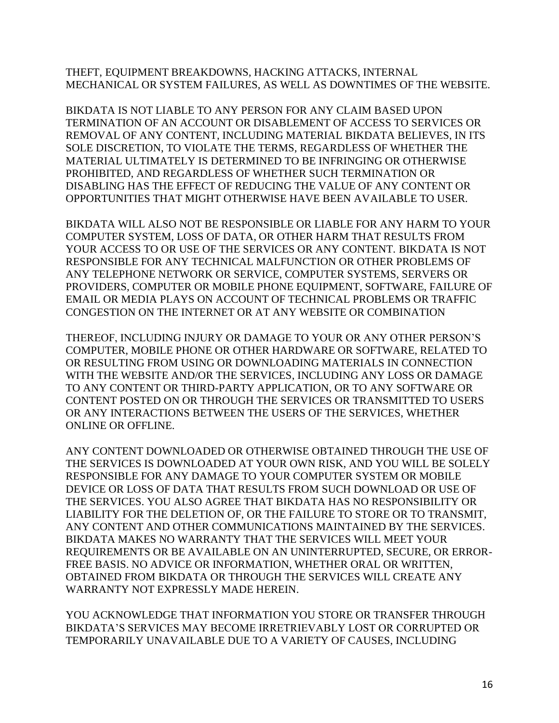THEFT, EQUIPMENT BREAKDOWNS, HACKING ATTACKS, INTERNAL MECHANICAL OR SYSTEM FAILURES, AS WELL AS DOWNTIMES OF THE WEBSITE.

BIKDATA IS NOT LIABLE TO ANY PERSON FOR ANY CLAIM BASED UPON TERMINATION OF AN ACCOUNT OR DISABLEMENT OF ACCESS TO SERVICES OR REMOVAL OF ANY CONTENT, INCLUDING MATERIAL BIKDATA BELIEVES, IN ITS SOLE DISCRETION, TO VIOLATE THE TERMS, REGARDLESS OF WHETHER THE MATERIAL ULTIMATELY IS DETERMINED TO BE INFRINGING OR OTHERWISE PROHIBITED, AND REGARDLESS OF WHETHER SUCH TERMINATION OR DISABLING HAS THE EFFECT OF REDUCING THE VALUE OF ANY CONTENT OR OPPORTUNITIES THAT MIGHT OTHERWISE HAVE BEEN AVAILABLE TO USER.

BIKDATA WILL ALSO NOT BE RESPONSIBLE OR LIABLE FOR ANY HARM TO YOUR COMPUTER SYSTEM, LOSS OF DATA, OR OTHER HARM THAT RESULTS FROM YOUR ACCESS TO OR USE OF THE SERVICES OR ANY CONTENT. BIKDATA IS NOT RESPONSIBLE FOR ANY TECHNICAL MALFUNCTION OR OTHER PROBLEMS OF ANY TELEPHONE NETWORK OR SERVICE, COMPUTER SYSTEMS, SERVERS OR PROVIDERS, COMPUTER OR MOBILE PHONE EQUIPMENT, SOFTWARE, FAILURE OF EMAIL OR MEDIA PLAYS ON ACCOUNT OF TECHNICAL PROBLEMS OR TRAFFIC CONGESTION ON THE INTERNET OR AT ANY WEBSITE OR COMBINATION

THEREOF, INCLUDING INJURY OR DAMAGE TO YOUR OR ANY OTHER PERSON'S COMPUTER, MOBILE PHONE OR OTHER HARDWARE OR SOFTWARE, RELATED TO OR RESULTING FROM USING OR DOWNLOADING MATERIALS IN CONNECTION WITH THE WEBSITE AND/OR THE SERVICES, INCLUDING ANY LOSS OR DAMAGE TO ANY CONTENT OR THIRD-PARTY APPLICATION, OR TO ANY SOFTWARE OR CONTENT POSTED ON OR THROUGH THE SERVICES OR TRANSMITTED TO USERS OR ANY INTERACTIONS BETWEEN THE USERS OF THE SERVICES, WHETHER ONLINE OR OFFLINE.

ANY CONTENT DOWNLOADED OR OTHERWISE OBTAINED THROUGH THE USE OF THE SERVICES IS DOWNLOADED AT YOUR OWN RISK, AND YOU WILL BE SOLELY RESPONSIBLE FOR ANY DAMAGE TO YOUR COMPUTER SYSTEM OR MOBILE DEVICE OR LOSS OF DATA THAT RESULTS FROM SUCH DOWNLOAD OR USE OF THE SERVICES. YOU ALSO AGREE THAT BIKDATA HAS NO RESPONSIBILITY OR LIABILITY FOR THE DELETION OF, OR THE FAILURE TO STORE OR TO TRANSMIT, ANY CONTENT AND OTHER COMMUNICATIONS MAINTAINED BY THE SERVICES. BIKDATA MAKES NO WARRANTY THAT THE SERVICES WILL MEET YOUR REQUIREMENTS OR BE AVAILABLE ON AN UNINTERRUPTED, SECURE, OR ERROR-FREE BASIS. NO ADVICE OR INFORMATION, WHETHER ORAL OR WRITTEN, OBTAINED FROM BIKDATA OR THROUGH THE SERVICES WILL CREATE ANY WARRANTY NOT EXPRESSLY MADE HEREIN.

YOU ACKNOWLEDGE THAT INFORMATION YOU STORE OR TRANSFER THROUGH BIKDATA'S SERVICES MAY BECOME IRRETRIEVABLY LOST OR CORRUPTED OR TEMPORARILY UNAVAILABLE DUE TO A VARIETY OF CAUSES, INCLUDING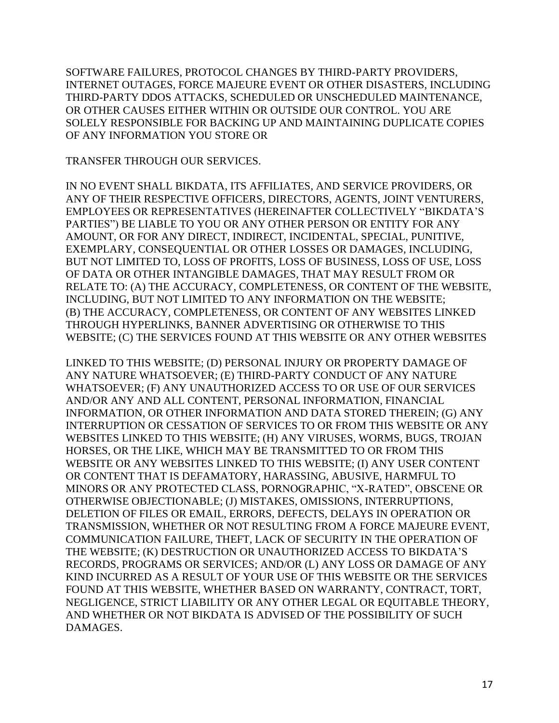SOFTWARE FAILURES, PROTOCOL CHANGES BY THIRD-PARTY PROVIDERS, INTERNET OUTAGES, FORCE MAJEURE EVENT OR OTHER DISASTERS, INCLUDING THIRD-PARTY DDOS ATTACKS, SCHEDULED OR UNSCHEDULED MAINTENANCE, OR OTHER CAUSES EITHER WITHIN OR OUTSIDE OUR CONTROL. YOU ARE SOLELY RESPONSIBLE FOR BACKING UP AND MAINTAINING DUPLICATE COPIES OF ANY INFORMATION YOU STORE OR

TRANSFER THROUGH OUR SERVICES.

IN NO EVENT SHALL BIKDATA, ITS AFFILIATES, AND SERVICE PROVIDERS, OR ANY OF THEIR RESPECTIVE OFFICERS, DIRECTORS, AGENTS, JOINT VENTURERS, EMPLOYEES OR REPRESENTATIVES (HEREINAFTER COLLECTIVELY "BIKDATA'S PARTIES") BE LIABLE TO YOU OR ANY OTHER PERSON OR ENTITY FOR ANY AMOUNT, OR FOR ANY DIRECT, INDIRECT, INCIDENTAL, SPECIAL, PUNITIVE, EXEMPLARY, CONSEQUENTIAL OR OTHER LOSSES OR DAMAGES, INCLUDING, BUT NOT LIMITED TO, LOSS OF PROFITS, LOSS OF BUSINESS, LOSS OF USE, LOSS OF DATA OR OTHER INTANGIBLE DAMAGES, THAT MAY RESULT FROM OR RELATE TO: (A) THE ACCURACY, COMPLETENESS, OR CONTENT OF THE WEBSITE, INCLUDING, BUT NOT LIMITED TO ANY INFORMATION ON THE WEBSITE; (B) THE ACCURACY, COMPLETENESS, OR CONTENT OF ANY WEBSITES LINKED THROUGH HYPERLINKS, BANNER ADVERTISING OR OTHERWISE TO THIS WEBSITE; (C) THE SERVICES FOUND AT THIS WEBSITE OR ANY OTHER WEBSITES

LINKED TO THIS WEBSITE; (D) PERSONAL INJURY OR PROPERTY DAMAGE OF ANY NATURE WHATSOEVER; (E) THIRD-PARTY CONDUCT OF ANY NATURE WHATSOEVER; (F) ANY UNAUTHORIZED ACCESS TO OR USE OF OUR SERVICES AND/OR ANY AND ALL CONTENT, PERSONAL INFORMATION, FINANCIAL INFORMATION, OR OTHER INFORMATION AND DATA STORED THEREIN; (G) ANY INTERRUPTION OR CESSATION OF SERVICES TO OR FROM THIS WEBSITE OR ANY WEBSITES LINKED TO THIS WEBSITE; (H) ANY VIRUSES, WORMS, BUGS, TROJAN HORSES, OR THE LIKE, WHICH MAY BE TRANSMITTED TO OR FROM THIS WEBSITE OR ANY WEBSITES LINKED TO THIS WEBSITE; (I) ANY USER CONTENT OR CONTENT THAT IS DEFAMATORY, HARASSING, ABUSIVE, HARMFUL TO MINORS OR ANY PROTECTED CLASS, PORNOGRAPHIC, "X-RATED", OBSCENE OR OTHERWISE OBJECTIONABLE; (J) MISTAKES, OMISSIONS, INTERRUPTIONS, DELETION OF FILES OR EMAIL, ERRORS, DEFECTS, DELAYS IN OPERATION OR TRANSMISSION, WHETHER OR NOT RESULTING FROM A FORCE MAJEURE EVENT, COMMUNICATION FAILURE, THEFT, LACK OF SECURITY IN THE OPERATION OF THE WEBSITE; (K) DESTRUCTION OR UNAUTHORIZED ACCESS TO BIKDATA'S RECORDS, PROGRAMS OR SERVICES; AND/OR (L) ANY LOSS OR DAMAGE OF ANY KIND INCURRED AS A RESULT OF YOUR USE OF THIS WEBSITE OR THE SERVICES FOUND AT THIS WEBSITE, WHETHER BASED ON WARRANTY, CONTRACT, TORT, NEGLIGENCE, STRICT LIABILITY OR ANY OTHER LEGAL OR EQUITABLE THEORY, AND WHETHER OR NOT BIKDATA IS ADVISED OF THE POSSIBILITY OF SUCH DAMAGES.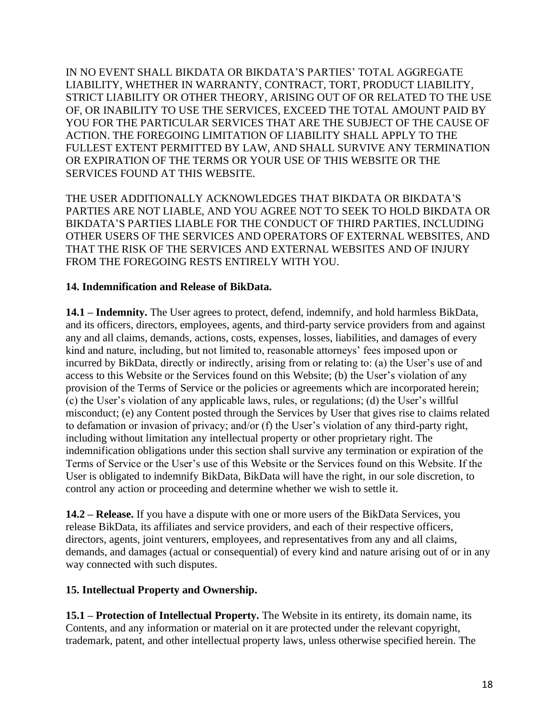IN NO EVENT SHALL BIKDATA OR BIKDATA'S PARTIES' TOTAL AGGREGATE LIABILITY, WHETHER IN WARRANTY, CONTRACT, TORT, PRODUCT LIABILITY, STRICT LIABILITY OR OTHER THEORY, ARISING OUT OF OR RELATED TO THE USE OF, OR INABILITY TO USE THE SERVICES, EXCEED THE TOTAL AMOUNT PAID BY YOU FOR THE PARTICULAR SERVICES THAT ARE THE SUBJECT OF THE CAUSE OF ACTION. THE FOREGOING LIMITATION OF LIABILITY SHALL APPLY TO THE FULLEST EXTENT PERMITTED BY LAW, AND SHALL SURVIVE ANY TERMINATION OR EXPIRATION OF THE TERMS OR YOUR USE OF THIS WEBSITE OR THE SERVICES FOUND AT THIS WEBSITE.

THE USER ADDITIONALLY ACKNOWLEDGES THAT BIKDATA OR BIKDATA'S PARTIES ARE NOT LIABLE, AND YOU AGREE NOT TO SEEK TO HOLD BIKDATA OR BIKDATA'S PARTIES LIABLE FOR THE CONDUCT OF THIRD PARTIES, INCLUDING OTHER USERS OF THE SERVICES AND OPERATORS OF EXTERNAL WEBSITES, AND THAT THE RISK OF THE SERVICES AND EXTERNAL WEBSITES AND OF INJURY FROM THE FOREGOING RESTS ENTIRELY WITH YOU.

#### **14. Indemnification and Release of BikData.**

**14.1 – Indemnity.** The User agrees to protect, defend, indemnify, and hold harmless BikData, and its officers, directors, employees, agents, and third-party service providers from and against any and all claims, demands, actions, costs, expenses, losses, liabilities, and damages of every kind and nature, including, but not limited to, reasonable attorneys' fees imposed upon or incurred by BikData, directly or indirectly, arising from or relating to: (a) the User's use of and access to this Website or the Services found on this Website; (b) the User's violation of any provision of the Terms of Service or the policies or agreements which are incorporated herein; (c) the User's violation of any applicable laws, rules, or regulations; (d) the User's willful misconduct; (e) any Content posted through the Services by User that gives rise to claims related to defamation or invasion of privacy; and/or (f) the User's violation of any third-party right, including without limitation any intellectual property or other proprietary right. The indemnification obligations under this section shall survive any termination or expiration of the Terms of Service or the User's use of this Website or the Services found on this Website. If the User is obligated to indemnify BikData, BikData will have the right, in our sole discretion, to control any action or proceeding and determine whether we wish to settle it.

**14.2 – Release.** If you have a dispute with one or more users of the BikData Services, you release BikData, its affiliates and service providers, and each of their respective officers, directors, agents, joint venturers, employees, and representatives from any and all claims, demands, and damages (actual or consequential) of every kind and nature arising out of or in any way connected with such disputes.

#### **15. Intellectual Property and Ownership.**

**15.1 – Protection of Intellectual Property.** The Website in its entirety, its domain name, its Contents, and any information or material on it are protected under the relevant copyright, trademark, patent, and other intellectual property laws, unless otherwise specified herein. The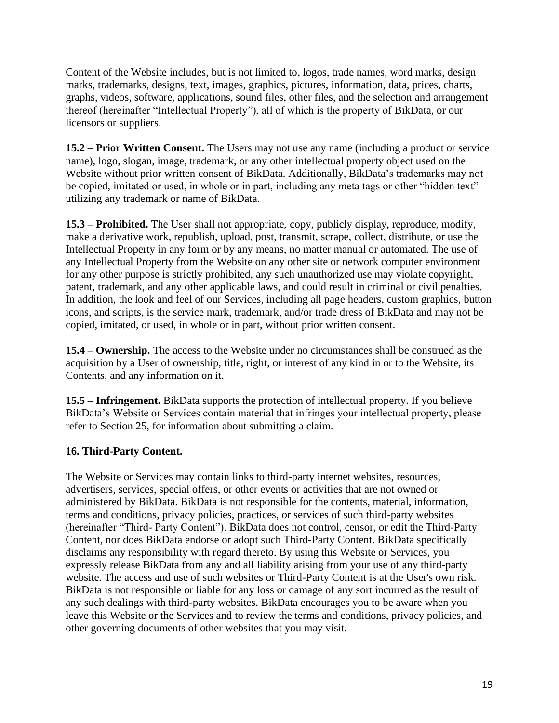Content of the Website includes, but is not limited to, logos, trade names, word marks, design marks, trademarks, designs, text, images, graphics, pictures, information, data, prices, charts, graphs, videos, software, applications, sound files, other files, and the selection and arrangement thereof (hereinafter "Intellectual Property"), all of which is the property of BikData, or our licensors or suppliers.

**15.2 – Prior Written Consent.** The Users may not use any name (including a product or service name), logo, slogan, image, trademark, or any other intellectual property object used on the Website without prior written consent of BikData. Additionally, BikData's trademarks may not be copied, imitated or used, in whole or in part, including any meta tags or other "hidden text" utilizing any trademark or name of BikData.

**15.3 – Prohibited.** The User shall not appropriate, copy, publicly display, reproduce, modify, make a derivative work, republish, upload, post, transmit, scrape, collect, distribute, or use the Intellectual Property in any form or by any means, no matter manual or automated. The use of any Intellectual Property from the Website on any other site or network computer environment for any other purpose is strictly prohibited, any such unauthorized use may violate copyright, patent, trademark, and any other applicable laws, and could result in criminal or civil penalties. In addition, the look and feel of our Services, including all page headers, custom graphics, button icons, and scripts, is the service mark, trademark, and/or trade dress of BikData and may not be copied, imitated, or used, in whole or in part, without prior written consent.

**15.4 – Ownership.** The access to the Website under no circumstances shall be construed as the acquisition by a User of ownership, title, right, or interest of any kind in or to the Website, its Contents, and any information on it.

**15.5 – Infringement.** BikData supports the protection of intellectual property. If you believe BikData's Website or Services contain material that infringes your intellectual property, please refer to Section 25, for information about submitting a claim.

# **16. Third-Party Content.**

The Website or Services may contain links to third-party internet websites, resources, advertisers, services, special offers, or other events or activities that are not owned or administered by BikData. BikData is not responsible for the contents, material, information, terms and conditions, privacy policies, practices, or services of such third-party websites (hereinafter "Third- Party Content"). BikData does not control, censor, or edit the Third-Party Content, nor does BikData endorse or adopt such Third-Party Content. BikData specifically disclaims any responsibility with regard thereto. By using this Website or Services, you expressly release BikData from any and all liability arising from your use of any third-party website. The access and use of such websites or Third-Party Content is at the User's own risk. BikData is not responsible or liable for any loss or damage of any sort incurred as the result of any such dealings with third-party websites. BikData encourages you to be aware when you leave this Website or the Services and to review the terms and conditions, privacy policies, and other governing documents of other websites that you may visit.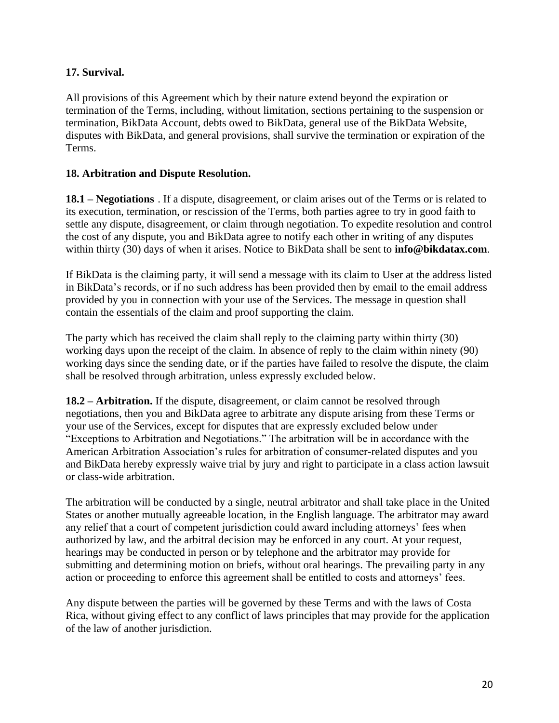# **17. Survival.**

All provisions of this Agreement which by their nature extend beyond the expiration or termination of the Terms, including, without limitation, sections pertaining to the suspension or termination, BikData Account, debts owed to BikData, general use of the BikData Website, disputes with BikData, and general provisions, shall survive the termination or expiration of the Terms.

## **18. Arbitration and Dispute Resolution.**

**18.1 – Negotiations** . If a dispute, disagreement, or claim arises out of the Terms or is related to its execution, termination, or rescission of the Terms, both parties agree to try in good faith to settle any dispute, disagreement, or claim through negotiation. To expedite resolution and control the cost of any dispute, you and BikData agree to notify each other in writing of any disputes within thirty (30) days of when it arises. Notice to BikData shall be sent to **info@bikdatax.com**.

If BikData is the claiming party, it will send a message with its claim to User at the address listed in BikData's records, or if no such address has been provided then by email to the email address provided by you in connection with your use of the Services. The message in question shall contain the essentials of the claim and proof supporting the claim.

The party which has received the claim shall reply to the claiming party within thirty (30) working days upon the receipt of the claim. In absence of reply to the claim within ninety (90) working days since the sending date, or if the parties have failed to resolve the dispute, the claim shall be resolved through arbitration, unless expressly excluded below.

**18.2 – Arbitration.** If the dispute, disagreement, or claim cannot be resolved through negotiations, then you and BikData agree to arbitrate any dispute arising from these Terms or your use of the Services, except for disputes that are expressly excluded below under "Exceptions to Arbitration and Negotiations." The arbitration will be in accordance with the American Arbitration Association's rules for arbitration of consumer-related disputes and you and BikData hereby expressly waive trial by jury and right to participate in a class action lawsuit or class-wide arbitration.

The arbitration will be conducted by a single, neutral arbitrator and shall take place in the United States or another mutually agreeable location, in the English language. The arbitrator may award any relief that a court of competent jurisdiction could award including attorneys' fees when authorized by law, and the arbitral decision may be enforced in any court. At your request, hearings may be conducted in person or by telephone and the arbitrator may provide for submitting and determining motion on briefs, without oral hearings. The prevailing party in any action or proceeding to enforce this agreement shall be entitled to costs and attorneys' fees.

Any dispute between the parties will be governed by these Terms and with the laws of Costa Rica, without giving effect to any conflict of laws principles that may provide for the application of the law of another jurisdiction.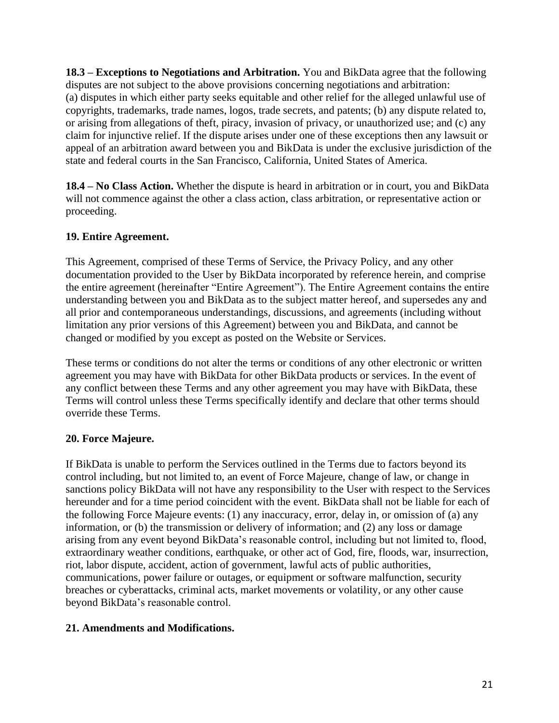**18.3 – Exceptions to Negotiations and Arbitration.** You and BikData agree that the following disputes are not subject to the above provisions concerning negotiations and arbitration: (a) disputes in which either party seeks equitable and other relief for the alleged unlawful use of copyrights, trademarks, trade names, logos, trade secrets, and patents; (b) any dispute related to, or arising from allegations of theft, piracy, invasion of privacy, or unauthorized use; and (c) any claim for injunctive relief. If the dispute arises under one of these exceptions then any lawsuit or appeal of an arbitration award between you and BikData is under the exclusive jurisdiction of the state and federal courts in the San Francisco, California, United States of America.

**18.4 – No Class Action.** Whether the dispute is heard in arbitration or in court, you and BikData will not commence against the other a class action, class arbitration, or representative action or proceeding.

# **19. Entire Agreement.**

This Agreement, comprised of these Terms of Service, the Privacy Policy, and any other documentation provided to the User by BikData incorporated by reference herein, and comprise the entire agreement (hereinafter "Entire Agreement"). The Entire Agreement contains the entire understanding between you and BikData as to the subject matter hereof, and supersedes any and all prior and contemporaneous understandings, discussions, and agreements (including without limitation any prior versions of this Agreement) between you and BikData, and cannot be changed or modified by you except as posted on the Website or Services.

These terms or conditions do not alter the terms or conditions of any other electronic or written agreement you may have with BikData for other BikData products or services. In the event of any conflict between these Terms and any other agreement you may have with BikData, these Terms will control unless these Terms specifically identify and declare that other terms should override these Terms.

#### **20. Force Majeure.**

If BikData is unable to perform the Services outlined in the Terms due to factors beyond its control including, but not limited to, an event of Force Majeure, change of law, or change in sanctions policy BikData will not have any responsibility to the User with respect to the Services hereunder and for a time period coincident with the event. BikData shall not be liable for each of the following Force Majeure events: (1) any inaccuracy, error, delay in, or omission of (a) any information, or (b) the transmission or delivery of information; and (2) any loss or damage arising from any event beyond BikData's reasonable control, including but not limited to, flood, extraordinary weather conditions, earthquake, or other act of God, fire, floods, war, insurrection, riot, labor dispute, accident, action of government, lawful acts of public authorities, communications, power failure or outages, or equipment or software malfunction, security breaches or cyberattacks, criminal acts, market movements or volatility, or any other cause beyond BikData's reasonable control.

#### **21. Amendments and Modifications.**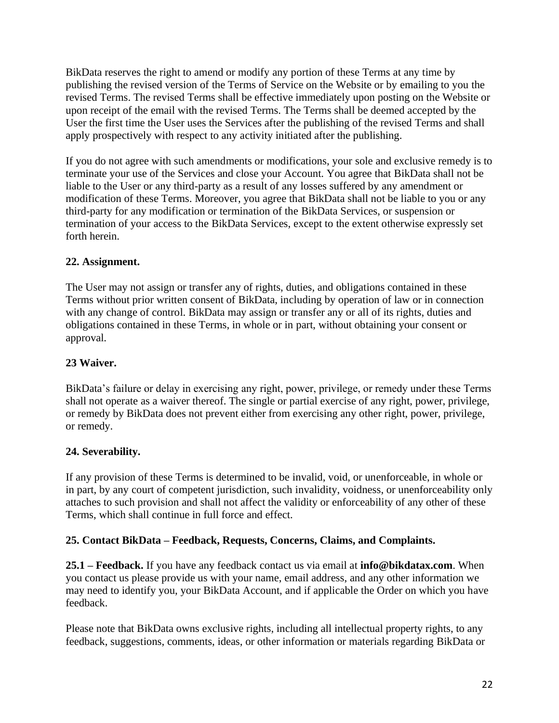BikData reserves the right to amend or modify any portion of these Terms at any time by publishing the revised version of the Terms of Service on the Website or by emailing to you the revised Terms. The revised Terms shall be effective immediately upon posting on the Website or upon receipt of the email with the revised Terms. The Terms shall be deemed accepted by the User the first time the User uses the Services after the publishing of the revised Terms and shall apply prospectively with respect to any activity initiated after the publishing.

If you do not agree with such amendments or modifications, your sole and exclusive remedy is to terminate your use of the Services and close your Account. You agree that BikData shall not be liable to the User or any third-party as a result of any losses suffered by any amendment or modification of these Terms. Moreover, you agree that BikData shall not be liable to you or any third-party for any modification or termination of the BikData Services, or suspension or termination of your access to the BikData Services, except to the extent otherwise expressly set forth herein.

# **22. Assignment.**

The User may not assign or transfer any of rights, duties, and obligations contained in these Terms without prior written consent of BikData, including by operation of law or in connection with any change of control. BikData may assign or transfer any or all of its rights, duties and obligations contained in these Terms, in whole or in part, without obtaining your consent or approval.

## **23 Waiver.**

BikData's failure or delay in exercising any right, power, privilege, or remedy under these Terms shall not operate as a waiver thereof. The single or partial exercise of any right, power, privilege, or remedy by BikData does not prevent either from exercising any other right, power, privilege, or remedy.

#### **24. Severability.**

If any provision of these Terms is determined to be invalid, void, or unenforceable, in whole or in part, by any court of competent jurisdiction, such invalidity, voidness, or unenforceability only attaches to such provision and shall not affect the validity or enforceability of any other of these Terms, which shall continue in full force and effect.

#### **25. Contact BikData – Feedback, Requests, Concerns, Claims, and Complaints.**

**25.1 – Feedback.** If you have any feedback contact us via email at **info@bikdatax.com**. When you contact us please provide us with your name, email address, and any other information we may need to identify you, your BikData Account, and if applicable the Order on which you have feedback.

Please note that BikData owns exclusive rights, including all intellectual property rights, to any feedback, suggestions, comments, ideas, or other information or materials regarding BikData or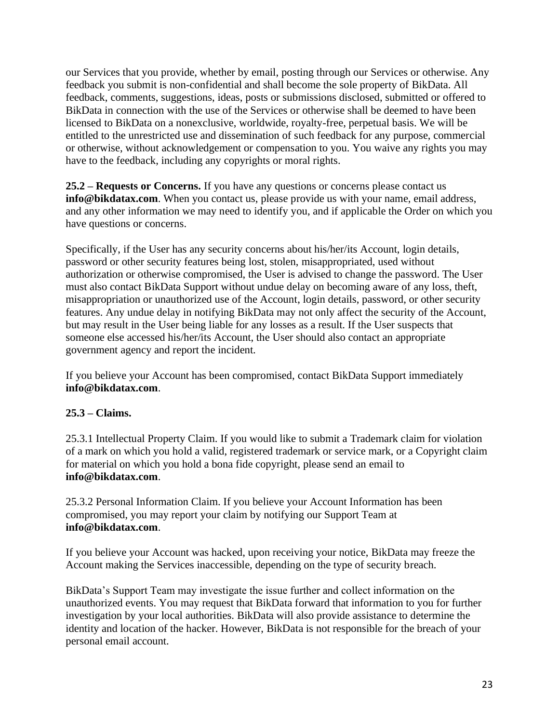our Services that you provide, whether by email, posting through our Services or otherwise. Any feedback you submit is non-confidential and shall become the sole property of BikData. All feedback, comments, suggestions, ideas, posts or submissions disclosed, submitted or offered to BikData in connection with the use of the Services or otherwise shall be deemed to have been licensed to BikData on a nonexclusive, worldwide, royalty-free, perpetual basis. We will be entitled to the unrestricted use and dissemination of such feedback for any purpose, commercial or otherwise, without acknowledgement or compensation to you. You waive any rights you may have to the feedback, including any copyrights or moral rights.

**25.2 – Requests or Concerns.** If you have any questions or concerns please contact us **info@bikdatax.com**. When you contact us, please provide us with your name, email address, and any other information we may need to identify you, and if applicable the Order on which you have questions or concerns.

Specifically, if the User has any security concerns about his/her/its Account, login details, password or other security features being lost, stolen, misappropriated, used without authorization or otherwise compromised, the User is advised to change the password. The User must also contact BikData Support without undue delay on becoming aware of any loss, theft, misappropriation or unauthorized use of the Account, login details, password, or other security features. Any undue delay in notifying BikData may not only affect the security of the Account, but may result in the User being liable for any losses as a result. If the User suspects that someone else accessed his/her/its Account, the User should also contact an appropriate government agency and report the incident.

If you believe your Account has been compromised, contact BikData Support immediately **info@bikdatax.com**.

# **25.3 – Claims.**

25.3.1 Intellectual Property Claim. If you would like to submit a Trademark claim for violation of a mark on which you hold a valid, registered trademark or service mark, or a Copyright claim for material on which you hold a bona fide copyright, please send an email to **info@bikdatax.com**.

25.3.2 Personal Information Claim. If you believe your Account Information has been compromised, you may report your claim by notifying our Support Team at **info@bikdatax.com**.

If you believe your Account was hacked, upon receiving your notice, BikData may freeze the Account making the Services inaccessible, depending on the type of security breach.

BikData's Support Team may investigate the issue further and collect information on the unauthorized events. You may request that BikData forward that information to you for further investigation by your local authorities. BikData will also provide assistance to determine the identity and location of the hacker. However, BikData is not responsible for the breach of your personal email account.